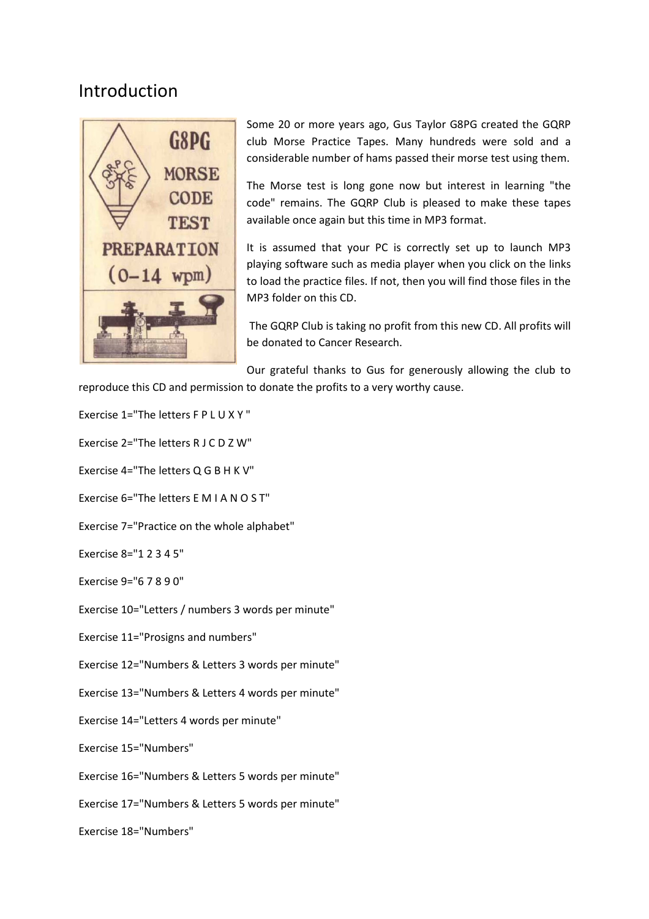## Introduction



Some 20 or more years ago, Gus Taylor G8PG created the GQRP club Morse Practice Tapes. Many hundreds were sold and a considerable number of hams passed their morse test using them.

The Morse test is long gone now but interest in learning "the code" remains. The GQRP Club is pleased to make these tapes available once again but this time in MP3 format.

It is assumed that your PC is correctly set up to launch MP3 playing software such as media player when you click on the links to load the practice files. If not, then you will find those files in the MP3 folder on this CD.

 The GQRP Club is taking no profit from this new CD. All profits will be donated to Cancer Research.

Our grateful thanks to Gus for generously allowing the club to reproduce this CD and permission to donate the profits to a very worthy cause.

- Exercise 1="The letters F P L U X Y "
- Exercise 2="The letters R J C D Z W"
- Exercise 4="The letters Q G B H K V"
- Exercise 6="The letters E M I A N O S T"
- Exercise 7="Practice on the whole alphabet"
- Exercise 8="1 2 3 4 5"
- Exercise 9="6 7 8 9 0"
- Exercise 10="Letters / numbers 3 words per minute"
- Exercise 11="Prosigns and numbers"
- Exercise 12="Numbers & Letters 3 words per minute"
- Exercise 13="Numbers & Letters 4 words per minute"
- Exercise 14="Letters 4 words per minute"
- Exercise 15="Numbers"
- Exercise 16="Numbers & Letters 5 words per minute"
- Exercise 17="Numbers & Letters 5 words per minute"
- Exercise 18="Numbers"